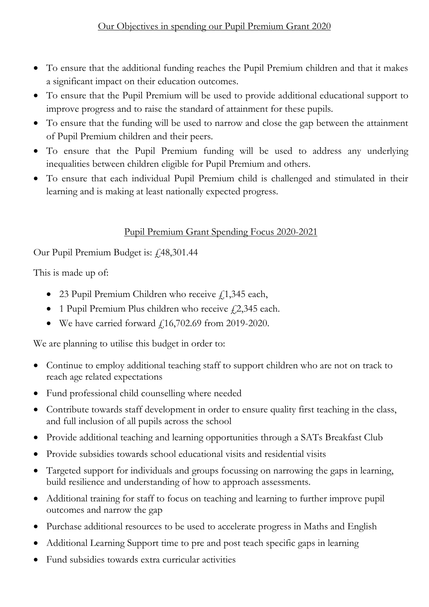- To ensure that the additional funding reaches the Pupil Premium children and that it makes a significant impact on their education outcomes.
- To ensure that the Pupil Premium will be used to provide additional educational support to improve progress and to raise the standard of attainment for these pupils.
- To ensure that the funding will be used to narrow and close the gap between the attainment of Pupil Premium children and their peers.
- To ensure that the Pupil Premium funding will be used to address any underlying inequalities between children eligible for Pupil Premium and others.
- To ensure that each individual Pupil Premium child is challenged and stimulated in their learning and is making at least nationally expected progress.

## Pupil Premium Grant Spending Focus 2020-2021

Our Pupil Premium Budget is:  $\text{\textsterling}48,301.44$ 

This is made up of:

- 23 Pupil Premium Children who receive  $f(1,345)$  each,
- 1 Pupil Premium Plus children who receive  $f(2,345)$  each.
- We have carried forward  $f(16,702.69)$  from 2019-2020.

We are planning to utilise this budget in order to:

- Continue to employ additional teaching staff to support children who are not on track to reach age related expectations
- Fund professional child counselling where needed
- Contribute towards staff development in order to ensure quality first teaching in the class, and full inclusion of all pupils across the school
- Provide additional teaching and learning opportunities through a SATs Breakfast Club
- Provide subsidies towards school educational visits and residential visits
- Targeted support for individuals and groups focussing on narrowing the gaps in learning, build resilience and understanding of how to approach assessments.
- Additional training for staff to focus on teaching and learning to further improve pupil outcomes and narrow the gap
- Purchase additional resources to be used to accelerate progress in Maths and English
- Additional Learning Support time to pre and post teach specific gaps in learning
- Fund subsidies towards extra curricular activities